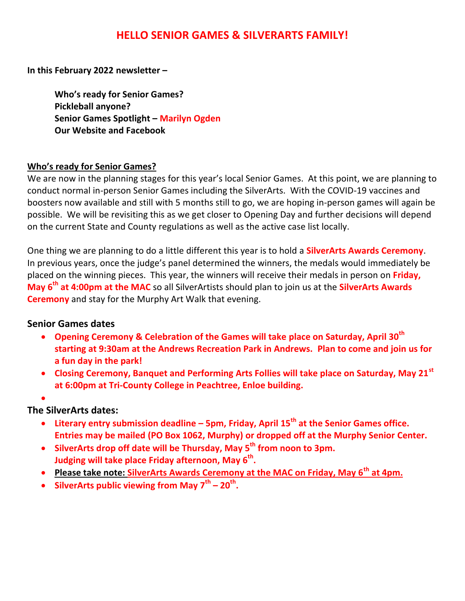# **HELLO SENIOR GAMES & SILVERARTS FAMILY!**

**In this February 2022 newsletter –**

**Who's ready for Senior Games? Pickleball anyone? Senior Games Spotlight – Marilyn Ogden Our Website and Facebook**

#### **Who's ready for Senior Games?**

We are now in the planning stages for this year's local Senior Games. At this point, we are planning to conduct normal in-person Senior Games including the SilverArts. With the COVID-19 vaccines and boosters now available and still with 5 months still to go, we are hoping in-person games will again be possible. We will be revisiting this as we get closer to Opening Day and further decisions will depend on the current State and County regulations as well as the active case list locally.

One thing we are planning to do a little different this year is to hold a **SilverArts Awards Ceremony**. In previous years, once the judge's panel determined the winners, the medals would immediately be placed on the winning pieces. This year, the winners will receive their medals in person on **Friday, May 6th at 4:00pm at the MAC** so all SilverArtists should plan to join us at the **SilverArts Awards Ceremony** and stay for the Murphy Art Walk that evening.

#### **Senior Games dates**

- **Opening Ceremony & Celebration of the Games will take place on Saturday, April 30th starting at 9:30am at the Andrews Recreation Park in Andrews. Plan to come and join us for a fun day in the park!**
- **Closing Ceremony, Banquet and Performing Arts Follies will take place on Saturday, May 21st at 6:00pm at Tri-County College in Peachtree, Enloe building.**
- $\bullet$

# **The SilverArts dates:**

- **Literary entry submission deadline – 5pm, Friday, April 15th at the Senior Games office. Entries may be mailed (PO Box 1062, Murphy) or dropped off at the Murphy Senior Center.**
- **SilverArts drop off date will be Thursday, May 5 th from noon to 3pm. Judging will take place Friday afternoon, May 6th .**
- **Please take note: SilverArts Awards Ceremony at the MAC on Friday, May 6th at 4pm.**
- **SilverArts public viewing from May 7 th – 20th .**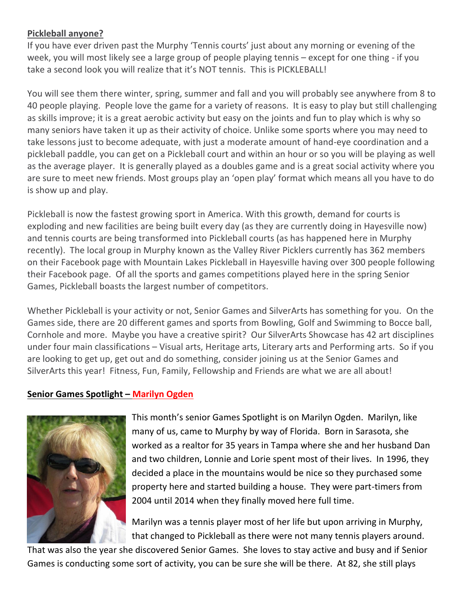### **Pickleball anyone?**

If you have ever driven past the Murphy 'Tennis courts' just about any morning or evening of the week, you will most likely see a large group of people playing tennis – except for one thing - if you take a second look you will realize that it's NOT tennis. This is PICKLEBALL!

You will see them there winter, spring, summer and fall and you will probably see anywhere from 8 to 40 people playing. People love the game for a variety of reasons. It is easy to play but still challenging as skills improve; it is a great aerobic activity but easy on the joints and fun to play which is why so many seniors have taken it up as their activity of choice. Unlike some sports where you may need to take lessons just to become adequate, with just a moderate amount of hand-eye coordination and a pickleball paddle, you can get on a Pickleball court and within an hour or so you will be playing as well as the average player. It is generally played as a doubles game and is a great social activity where you are sure to meet new friends. Most groups play an 'open play' format which means all you have to do is show up and play.

Pickleball is now the fastest growing sport in America. With this growth, demand for courts is exploding and new facilities are being built every day (as they are currently doing in Hayesville now) and tennis courts are being transformed into Pickleball courts (as has happened here in Murphy recently). The local group in Murphy known as the Valley River Picklers currently has 362 members on their Facebook page with Mountain Lakes Pickleball in Hayesville having over 300 people following their Facebook page. Of all the sports and games competitions played here in the spring Senior Games, Pickleball boasts the largest number of competitors.

Whether Pickleball is your activity or not, Senior Games and SilverArts has something for you. On the Games side, there are 20 different games and sports from Bowling, Golf and Swimming to Bocce ball, Cornhole and more. Maybe you have a creative spirit? Our SilverArts Showcase has 42 art disciplines under four main classifications – Visual arts, Heritage arts, Literary arts and Performing arts. So if you are looking to get up, get out and do something, consider joining us at the Senior Games and SilverArts this year! Fitness, Fun, Family, Fellowship and Friends are what we are all about!

#### **Senior Games Spotlight – Marilyn Ogden**



This month's senior Games Spotlight is on Marilyn Ogden. Marilyn, like many of us, came to Murphy by way of Florida. Born in Sarasota, she worked as a realtor for 35 years in Tampa where she and her husband Dan and two children, Lonnie and Lorie spent most of their lives. In 1996, they decided a place in the mountains would be nice so they purchased some property here and started building a house. They were part-timers from 2004 until 2014 when they finally moved here full time.

Marilyn was a tennis player most of her life but upon arriving in Murphy, that changed to Pickleball as there were not many tennis players around.

That was also the year she discovered Senior Games. She loves to stay active and busy and if Senior Games is conducting some sort of activity, you can be sure she will be there. At 82, she still plays